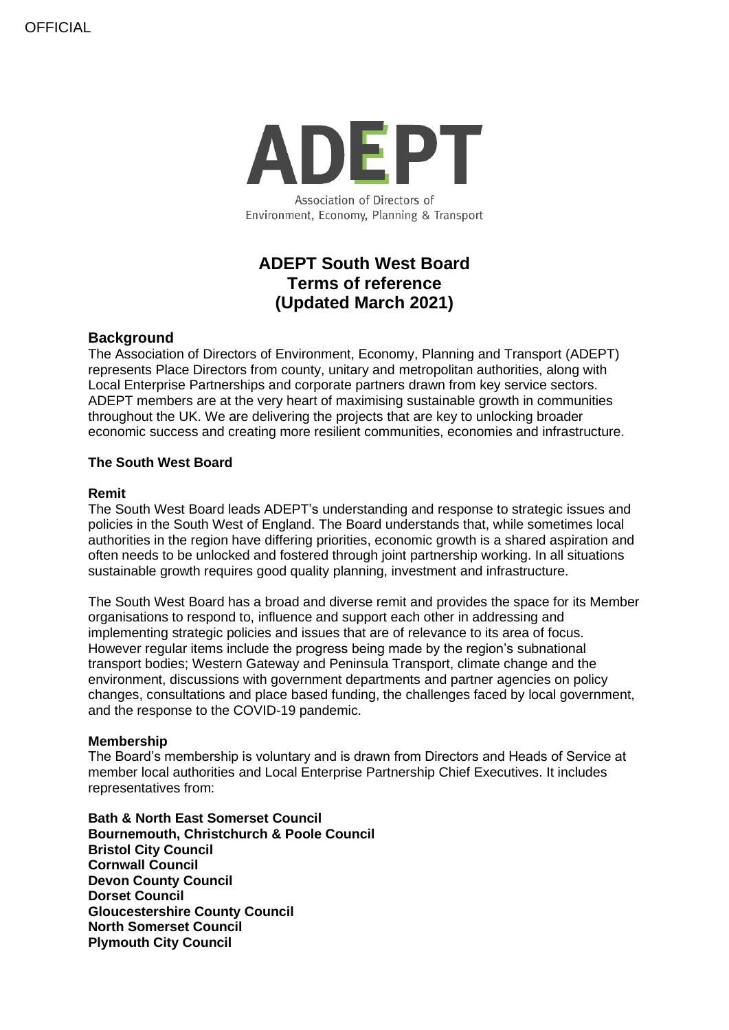

Environment, Economy, Planning & Transport

# **ADEPT South West Board Terms of reference (Updated March 2021)**

## **Background**

The Association of Directors of Environment, Economy, Planning and Transport (ADEPT) represents Place Directors from county, unitary and metropolitan authorities, along with Local Enterprise Partnerships and corporate partners drawn from key service sectors. ADEPT members are at the very heart of maximising sustainable growth in communities throughout the UK. We are delivering the projects that are key to unlocking broader economic success and creating more resilient communities, economies and infrastructure.

### **The South West Board**

#### **Remit**

The South West Board leads ADEPT's understanding and response to strategic issues and policies in the South West of England. The Board understands that, while sometimes local authorities in the region have differing priorities, economic growth is a shared aspiration and often needs to be unlocked and fostered through joint partnership working. In all situations sustainable growth requires good quality planning, investment and infrastructure.

The South West Board has a broad and diverse remit and provides the space for its Member organisations to respond to, influence and support each other in addressing and implementing strategic policies and issues that are of relevance to its area of focus. However regular items include the progress being made by the region's subnational transport bodies; Western Gateway and Peninsula Transport, climate change and the environment, discussions with government departments and partner agencies on policy changes, consultations and place based funding, the challenges faced by local government, and the response to the COVID-19 pandemic.

#### **Membership**

The Board's membership is voluntary and is drawn from Directors and Heads of Service at member local authorities and Local Enterprise Partnership Chief Executives. It includes representatives from:

**Bath & North East Somerset Council Bournemouth, Christchurch & Poole Council Bristol City Council Cornwall Council Devon County Council Dorset Council Gloucestershire County Council North Somerset Council Plymouth City Council**